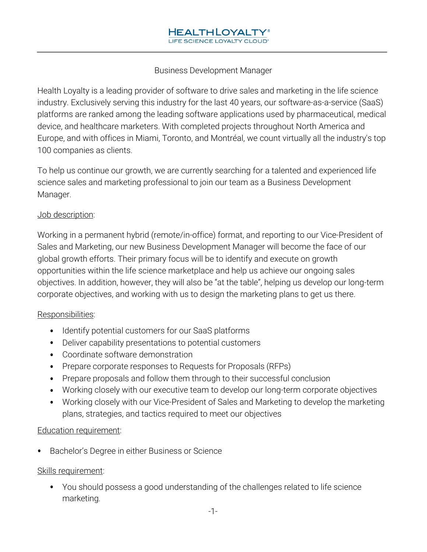## Business Development Manager

Health Loyalty is a leading provider of software to drive sales and marketing in the life science industry. Exclusively serving this industry for the last 40 years, our software-as-a-service (SaaS) platforms are ranked among the leading software applications used by pharmaceutical, medical device, and healthcare marketers. With completed projects throughout North America and Europe, and with offices in Miami, Toronto, and Montréal, we count virtually all the industry's top 100 companies as clients.

To help us continue our growth, we are currently searching for a talented and experienced life science sales and marketing professional to join our team as a Business Development Manager.

### Job description:

Working in a permanent hybrid (remote/in-office) format, and reporting to our Vice-President of Sales and Marketing, our new Business Development Manager will become the face of our global growth efforts. Their primary focus will be to identify and execute on growth opportunities within the life science marketplace and help us achieve our ongoing sales objectives. In addition, however, they will also be "at the table", helping us develop our long-term corporate objectives, and working with us to design the marketing plans to get us there.

### Responsibilities:

- Identify potential customers for our SaaS platforms
- Deliver capability presentations to potential customers •
- Coordinate software demonstration •
- Prepare corporate responses to Requests for Proposals (RFPs)
- Prepare proposals and follow them through to their successful conclusion
- Working closely with our executive team to develop our long-term corporate objectives •
- Working closely with our Vice-President of Sales and Marketing to develop the marketing plans, strategies, and tactics required to meet our objectives

#### Education requirement:

• Bachelor's Degree in either Business or Science

### Skills requirement:

• You should possess a good understanding of the challenges related to life science marketing.